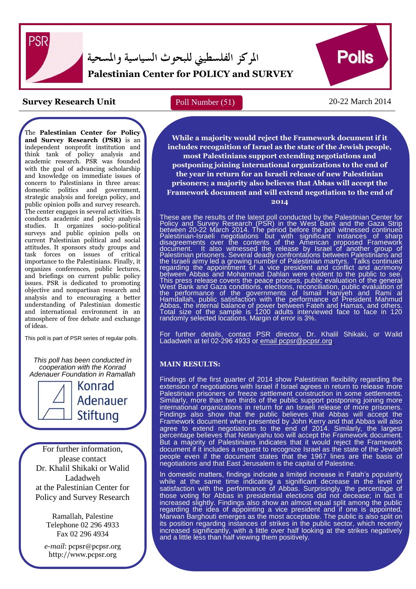

المركز الفلسطيني للبحوث السياسية والمسحية

**Palestinian Center for POLICY and SURVEY** 



# **Survey Research Unit** 2014 Poll Number (51) 20-22 March 2014

**RESEARCH**

Poll Number (51)

The **Palestinian Center for Policy and Survey Research (PSR)** is an independent nonprofit institution and think tank of policy analysis and academic research. PSR was founded with the goal of advancing scholarship and knowledge on immediate issues of concern to Palestinians in three areas: domestic politics and government, strategic analysis and foreign policy, and public opinion polls and survey research. The center engages in several activities. It conducts academic and policy analysis studies. It organizes socio-political surveys and public opinion polls on current Palestinian political and social attitudes. It sponsors study groups and task forces on issues of critical importance to the Palestinians. Finally, it organizes conferences, public lectures, and briefings on current public policy issues. PSR is dedicated to promoting objective and nonpartisan research and analysis and to encouraging a better understanding of Palestinian domestic and international environment in an atmosphere of free debate and exchange of ideas.

This poll is part of PSR series of regular polls.

I

*This poll has been conducted in cooperation with the Konrad Adenauer Foundation in Ramallah*

> Konrad Adenauer **Stiftung**

For further information, please contact Dr. Khalil Shikaki or Walid Ladadweh at the Palestinian Center for Policy and Survey Research

> Ramallah, Palestine Telephone 02 296 4933 Fax 02 296 4934

*e-mail*: pcpsr@pcpsr.org http://www.pcpsr.org

**While a majority would reject the Framework document if it includes recognition of Israel as the state of the Jewish people, most Palestinians support extending negotiations and postponing joining international organizations to the end of the year in return for an Israeli release of new Palestinian prisoners; a majority also believes that Abbas will accept the Framework document and will extend negotiation to the end of 2014** 

These are the results of the latest poll conducted by the Palestinian Center for Policy and Survey Research (PSR) in the West Bank and the Gaza Strip between 20-22 March 2014. The period before the poll witnessed continued Palestinian-Israeli negotiations but with significant instances of sharp disagreements over the contents of the American proposed Framework document. It also witnessed the release by Israel of another group of Palestinian prisoners. Several deadly confrontations between Palestinians and the Israeli army led a growing number of Palestinian martyrs. Talks continued regarding the appointment of a vice president and conflict and acrimony between Abbas and Mohammad Dahlan were evident to the public to see. This press release covers the peace process, public evaluation of the general West Bank and Gaza conditions, elections, reconciliation, public evaluation of the performance of the governments of Ismail Haniyeh and Rami al Hamdallah, public satisfaction with the performance of President Mahmud Abbas, the internal balance of power between Fateh and Hamas, and others. Total size of the sample is 1200 adults interviewed face to face in 120 randomly selected locations. Margin of error is 3%.

For further details, contact PSR director, Dr. Khalil Shikaki, or Walid Ladadweh at tel 02-296 4933 or email [pcpsr@pcpsr.org](mailto:pcpsr@pcpsr.org)

#### **MAIN RESULTS:**

Findings of the first quarter of 2014 show Palestinian flexibility regarding the extension of negotiations with Israel if Israel agrees in return to release more Palestinian prisoners or freeze settlement construction in some settlements. Similarly, more than two thirds of the public support postponing joining more international organizations in return for an Israeli release of more prisoners. Findings also show that the public believes that Abbas will accept the Framework document when presented by John Kerry and that Abbas will also agree to extend negotiations to the end of 2014. Similarly, the largest percentage believes that Netanyahu too will accept the Framework document. But a majority of Palestinians indicates that it would reject the Framework document if it includes a request to recognize Israel as the state of the Jewish people even if the document states that the 1967 lines are the basis of negotiations and that East Jerusalem is the capital of Palestine.

In domestic matters, findings indicate a limited increase in Fatah's popularity while at the same time indicating a significant decrease in the level of satisfaction with the performance of Abbas. Surprisingly, the percentage of those voting for Abbas in presidential elections did not decease; in fact it increased slightly. Findings also show an almost equal split among the public regarding the idea of appointing a vice president and if one is appointed, Marwan Barghouti emerges as the most acceptable. The public is also split on its position regarding instances of strikes in the public sector, which recently increased significantly, with a little over half looking at the strikes negatively and a little less than half viewing them positively.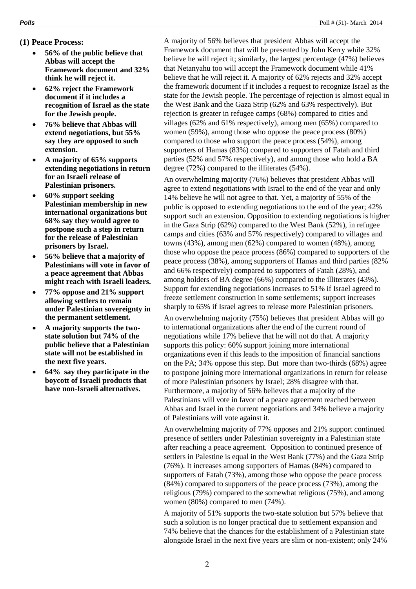#### **(1) Peace Process:**

- **56% of the public believe that Abbas will accept the Framework document and 32% think he will reject it.**
- **62% reject the Framework document if it includes a recognition of Israel as the state for the Jewish people.**
- **76% believe that Abbas will extend negotiations, but 55% say they are opposed to such extension.**
- **A majority of 65% supports extending negotiations in return for an Israeli release of Palestinian prisoners.**
- **60% support seeking Palestinian membership in new international organizations but 68% say they would agree to postpone such a step in return for the release of Palestinian prisoners by Israel.**
- **56% believe that a majority of Palestinians will vote in favor of a peace agreement that Abbas might reach with Israeli leaders.**
- **77% oppose and 21% support allowing settlers to remain under Palestinian sovereignty in the permanent settlement.**
- **A majority supports the twostate solution but 74% of the public believe that a Palestinian state will not be established in the next five years.**
- **64% say they participate in the boycott of Israeli products that have non-Israeli alternatives.**

A majority of 56% believes that president Abbas will accept the Framework document that will be presented by John Kerry while 32% believe he will reject it; similarly, the largest percentage (47%) believes that Netanyahu too will accept the Framework document while 41% believe that he will reject it. A majority of 62% rejects and 32% accept the framework document if it includes a request to recognize Israel as the state for the Jewish people. The percentage of rejection is almost equal in the West Bank and the Gaza Strip (62% and 63% respectively). But rejection is greater in refugee camps (68%) compared to cities and villages (62% and 61% respectively), among men (65%) compared to women (59%), among those who oppose the peace process (80%) compared to those who support the peace process (54%), among supporters of Hamas (83%) compared to supporters of Fatah and third parties (52% and 57% respectively), and among those who hold a BA degree (72%) compared to the illiterates (54%).

An overwhelming majority (76%) believes that president Abbas will agree to extend negotiations with Israel to the end of the year and only 14% believe he will not agree to that. Yet, a majority of 55% of the public is opposed to extending negotiations to the end of the year; 42% support such an extension. Opposition to extending negotiations is higher in the Gaza Strip (62%) compared to the West Bank (52%), in refugee camps and cities (63% and 57% respectively) compared to villages and towns (43%), among men (62%) compared to women (48%), among those who oppose the peace process (86%) compared to supporters of the peace process (38%), among supporters of Hamas and third parties (82% and 66% respectively) compared to supporters of Fatah (28%), and among holders of BA degree (66%) compared to the illiterates (43%). Support for extending negotiations increases to 51% if Israel agreed to freeze settlement construction in some settlements; support increases sharply to 65% if Israel agrees to release more Palestinian prisoners. An overwhelming majority (75%) believes that president Abbas will go to international organizations after the end of the current round of negotiations while 17% believe that he will not do that. A majority supports this policy: 60% support joining more international organizations even if this leads to the imposition of financial sanctions on the PA; 34% oppose this step. But more than two-thirds (68%) agree to postpone joining more international organizations in return for release of more Palestinian prisoners by Israel; 28% disagree with that. Furthermore, a majority of 56% believes that a majority of the Palestinians will vote in favor of a peace agreement reached between Abbas and Israel in the current negotiations and 34% believe a majority of Palestinians will vote against it.

An overwhelming majority of 77% opposes and 21% support continued presence of settlers under Palestinian sovereignty in a Palestinian state after reaching a peace agreement. Opposition to continued presence of settlers in Palestine is equal in the West Bank (77%) and the Gaza Strip (76%). It increases among supporters of Hamas (84%) compared to supporters of Fatah (73%), among those who oppose the peace process (84%) compared to supporters of the peace process (73%), among the religious (79%) compared to the somewhat religious (75%), and among women (80%) compared to men (74%).

A majority of 51% supports the two-state solution but 57% believe that such a solution is no longer practical due to settlement expansion and 74% believe that the chances for the establishment of a Palestinian state alongside Israel in the next five years are slim or non-existent; only 24%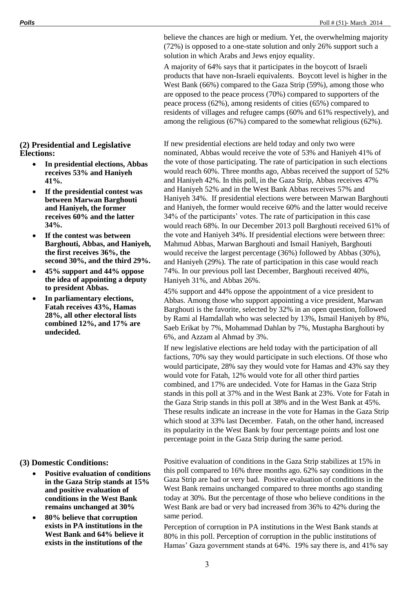believe the chances are high or medium. Yet, the overwhelming majority (72%) is opposed to a one-state solution and only 26% support such a solution in which Arabs and Jews enjoy equality.

A majority of 64% says that it participates in the boycott of Israeli products that have non-Israeli equivalents. Boycott level is higher in the West Bank (66%) compared to the Gaza Strip (59%), among those who are opposed to the peace process (70%) compared to supporters of the peace process (62%), among residents of cities (65%) compared to residents of villages and refugee camps (60% and 61% respectively), and among the religious (67%) compared to the somewhat religious (62%).

If new presidential elections are held today and only two were nominated, Abbas would receive the vote of 53% and Haniyeh 41% of the vote of those participating. The rate of participation in such elections would reach 60%. Three months ago, Abbas received the support of 52% and Haniyeh 42%. In this poll, in the Gaza Strip, Abbas receives 47% and Haniyeh 52% and in the West Bank Abbas receives 57% and Haniyeh 34%. If presidential elections were between Marwan Barghouti and Haniyeh, the former would receive 60% and the latter would receive 34% of the participants' votes. The rate of participation in this case would reach 68%. In our December 2013 poll Barghouti received 61% of the vote and Haniyeh 34%. If presidential elections were between three: Mahmud Abbas, Marwan Barghouti and Ismail Haniyeh, Barghouti would receive the largest percentage (36%) followed by Abbas (30%), and Haniyeh (29%). The rate of participation in this case would reach 74%. In our previous poll last December, Barghouti received 40%, Haniyeh 31%, and Abbas 26%.

45% support and 44% oppose the appointment of a vice president to Abbas. Among those who support appointing a vice president, Marwan Barghouti is the favorite, selected by 32% in an open question, followed by Rami al Hamdallah who was selected by 13%, Ismail Haniyeh by 8%, Saeb Erikat by 7%, Mohammad Dahlan by 7%, Mustapha Barghouti by 6%, and Azzam al Ahmad by 3%.

If new legislative elections are held today with the participation of all factions, 70% say they would participate in such elections. Of those who would participate, 28% say they would vote for Hamas and 43% say they would vote for Fatah, 12% would vote for all other third parties combined, and 17% are undecided. Vote for Hamas in the Gaza Strip stands in this poll at 37% and in the West Bank at 23%. Vote for Fatah in the Gaza Strip stands in this poll at 38% and in the West Bank at 45%. These results indicate an increase in the vote for Hamas in the Gaza Strip which stood at 33% last December. Fatah, on the other hand, increased its popularity in the West Bank by four percentage points and lost one percentage point in the Gaza Strip during the same period.

Positive evaluation of conditions in the Gaza Strip stabilizes at 15% in this poll compared to 16% three months ago. 62% say conditions in the Gaza Strip are bad or very bad. Positive evaluation of conditions in the West Bank remains unchanged compared to three months ago standing today at 30%. But the percentage of those who believe conditions in the West Bank are bad or very bad increased from 36% to 42% during the same period.

Perception of corruption in PA institutions in the West Bank stands at 80% in this poll. Perception of corruption in the public institutions of Hamas' Gaza government stands at 64%. 19% say there is, and 41% say

### **(2) Presidential and Legislative Elections:**

- **In presidential elections, Abbas receives 53% and Haniyeh 41%.**
- **If the presidential contest was between Marwan Barghouti and Haniyeh, the former receives 60% and the latter 34%.**
- **If the contest was between Barghouti, Abbas, and Haniyeh, the first receives 36%, the second 30%, and the third 29%.**
- **45% support and 44% oppose the idea of appointing a deputy to president Abbas.**
- **In parliamentary elections, Fatah receives 43%, Hamas 28%, all other electoral lists combined 12%, and 17% are undecided.**

#### **(3) Domestic Conditions:**

- **Positive evaluation of conditions in the Gaza Strip stands at 15% and positive evaluation of conditions in the West Bank remains unchanged at 30%**
- **80% believe that corruption exists in PA institutions in the West Bank and 64% believe it exists in the institutions of the**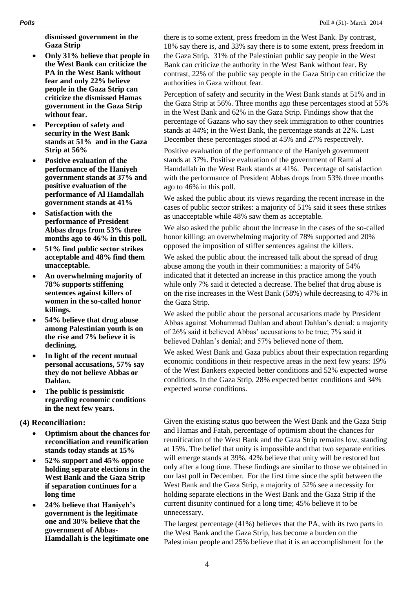**dismissed government in the Gaza Strip**

- **Only 31% believe that people in the West Bank can criticize the PA in the West Bank without fear and only 22% believe people in the Gaza Strip can criticize the dismissed Hamas government in the Gaza Strip without fear.**
- **Perception of safety and security in the West Bank stands at 51% and in the Gaza Strip at 56%**
- **Positive evaluation of the performance of the Haniyeh government stands at 37% and positive evaluation of the performance of Al Hamdallah government stands at 41%**
- **Satisfaction with the performance of President Abbas drops from 53% three months ago to 46% in this poll.**
- **51% find public sector strikes acceptable and 48% find them unacceptable.**
- **An overwhelming majority of 78% supports stiffening sentences against killers of women in the so-called honor killings.**
- **54% believe that drug abuse among Palestinian youth is on the rise and 7% believe it is declining.**
- **In light of the recent mutual personal accusations, 57% say they do not believe Abbas or Dahlan.**
- **The public is pessimistic regarding economic conditions in the next few years.**

### **(4) Reconciliation:**

- **Optimism about the chances for reconciliation and reunification stands today stands at 15%**
- **52% support and 45% oppose holding separate elections in the West Bank and the Gaza Strip if separation continues for a long time**
- **24% believe that Haniyeh's government is the legitimate one and 30% believe that the government of Abbas-Hamdallah is the legitimate one**

there is to some extent, press freedom in the West Bank. By contrast, 18% say there is, and 33% say there is to some extent, press freedom in the Gaza Strip. 31% of the Palestinian public say people in the West Bank can criticize the authority in the West Bank without fear. By contrast, 22% of the public say people in the Gaza Strip can criticize the authorities in Gaza without fear.

Perception of safety and security in the West Bank stands at 51% and in the Gaza Strip at 56%. Three months ago these percentages stood at 55% in the West Bank and 62% in the Gaza Strip. Findings show that the percentage of Gazans who say they seek immigration to other countries stands at 44%; in the West Bank, the percentage stands at 22%. Last December these percentages stood at 45% and 27% respectively.

Positive evaluation of the performance of the Haniyeh government stands at 37%. Positive evaluation of the government of Rami al Hamdallah in the West Bank stands at 41%. Percentage of satisfaction with the performance of President Abbas drops from 53% three months ago to 46% in this poll.

We asked the public about its views regarding the recent increase in the cases of public sector strikes: a majority of 51% said it sees these strikes as unacceptable while 48% saw them as acceptable.

We also asked the public about the increase in the cases of the so-called honor killing: an overwhelming majority of 78% supported and 20% opposed the imposition of stiffer sentences against the killers.

We asked the public about the increased talk about the spread of drug abuse among the youth in their communities: a majority of 54% indicated that it detected an increase in this practice among the youth while only 7% said it detected a decrease. The belief that drug abuse is on the rise increases in the West Bank (58%) while decreasing to 47% in the Gaza Strip.

We asked the public about the personal accusations made by President Abbas against Mohammad Dahlan and about Dahlan's denial: a majority of 26% said it believed Abbas' accusations to be true; 7% said it believed Dahlan's denial; and 57% believed none of them.

We asked West Bank and Gaza publics about their expectation regarding economic conditions in their respective areas in the next few years: 19% of the West Bankers expected better conditions and 52% expected worse conditions. In the Gaza Strip, 28% expected better conditions and 34% expected worse conditions.

Given the existing status quo between the West Bank and the Gaza Strip and Hamas and Fatah, percentage of optimism about the chances for reunification of the West Bank and the Gaza Strip remains low, standing at 15%. The belief that unity is impossible and that two separate entities will emerge stands at 39%. 42% believe that unity will be restored but only after a long time. These findings are similar to those we obtained in our last poll in December. For the first time since the split between the West Bank and the Gaza Strip, a majority of 52% see a necessity for holding separate elections in the West Bank and the Gaza Strip if the current disunity continued for a long time; 45% believe it to be unnecessary.

The largest percentage (41%) believes that the PA, with its two parts in the West Bank and the Gaza Strip, has become a burden on the Palestinian people and 25% believe that it is an accomplishment for the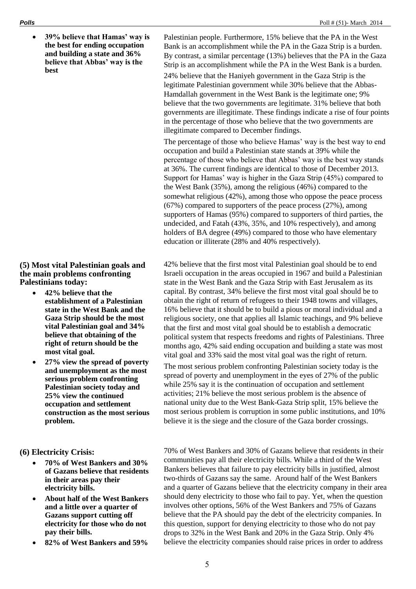**39% believe that Hamas' way is the best for ending occupation and building a state and 36% believe that Abbas' way is the best**

### **(5) Most vital Palestinian goals and the main problems confronting Palestinians today:**

- **42% believe that the establishment of a Palestinian state in the West Bank and the Gaza Strip should be the most vital Palestinian goal and 34% believe that obtaining of the right of return should be the most vital goal.**
- **27% view the spread of poverty and unemployment as the most serious problem confronting Palestinian society today and 25% view the continued occupation and settlement construction as the most serious problem.**

### **(6) Electricity Crisis:**

- **70% of West Bankers and 30% of Gazans believe that residents in their areas pay their electricity bills.**
- **About half of the West Bankers and a little over a quarter of Gazans support cutting off electricity for those who do not pay their bills.**
- **82% of West Bankers and 59%**

Palestinian people. Furthermore, 15% believe that the PA in the West Bank is an accomplishment while the PA in the Gaza Strip is a burden. By contrast, a similar percentage (13%) believes that the PA in the Gaza Strip is an accomplishment while the PA in the West Bank is a burden.

24% believe that the Haniyeh government in the Gaza Strip is the legitimate Palestinian government while 30% believe that the Abbas-Hamdallah government in the West Bank is the legitimate one; 9% believe that the two governments are legitimate. 31% believe that both governments are illegitimate. These findings indicate a rise of four points in the percentage of those who believe that the two governments are illegitimate compared to December findings.

The percentage of those who believe Hamas' way is the best way to end occupation and build a Palestinian state stands at 39% while the percentage of those who believe that Abbas' way is the best way stands at 36%. The current findings are identical to those of December 2013. Support for Hamas' way is higher in the Gaza Strip (45%) compared to the West Bank (35%), among the religious (46%) compared to the somewhat religious (42%), among those who oppose the peace process (67%) compared to supporters of the peace process (27%), among supporters of Hamas (95%) compared to supporters of third parties, the undecided, and Fatah (43%, 35%, and 10% respectively), and among holders of BA degree (49%) compared to those who have elementary education or illiterate (28% and 40% respectively).

42% believe that the first most vital Palestinian goal should be to end Israeli occupation in the areas occupied in 1967 and build a Palestinian state in the West Bank and the Gaza Strip with East Jerusalem as its capital. By contrast, 34% believe the first most vital goal should be to obtain the right of return of refugees to their 1948 towns and villages, 16% believe that it should be to build a pious or moral individual and a religious society, one that applies all Islamic teachings, and 9% believe that the first and most vital goal should be to establish a democratic political system that respects freedoms and rights of Palestinians. Three months ago, 42% said ending occupation and building a state was most vital goal and 33% said the most vital goal was the right of return.

The most serious problem confronting Palestinian society today is the spread of poverty and unemployment in the eyes of 27% of the public while 25% say it is the continuation of occupation and settlement activities; 21% believe the most serious problem is the absence of national unity due to the West Bank-Gaza Strip split, 15% believe the most serious problem is corruption in some public institutions, and 10% believe it is the siege and the closure of the Gaza border crossings.

70% of West Bankers and 30% of Gazans believe that residents in their communities pay all their electricity bills. While a third of the West Bankers believes that failure to pay electricity bills in justified, almost two-thirds of Gazans say the same. Around half of the West Bankers and a quarter of Gazans believe that the electricity company in their area should deny electricity to those who fail to pay. Yet, when the question involves other options, 56% of the West Bankers and 75% of Gazans believe that the PA should pay the debt of the electricity companies. In this question, support for denying electricity to those who do not pay drops to 32% in the West Bank and 20% in the Gaza Strip. Only 4% believe the electricity companies should raise prices in order to address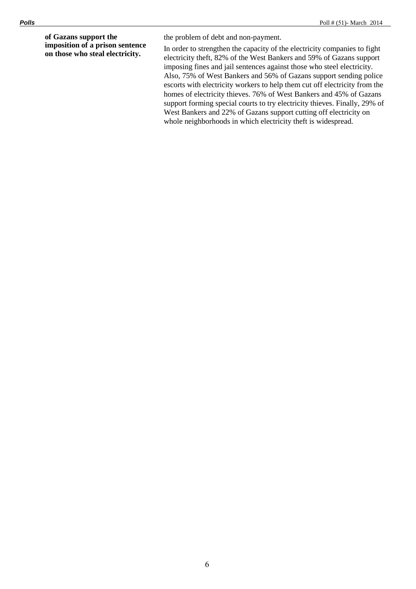the problem of debt and non-payment.

In order to strengthen the capacity of the electricity companies to fight electricity theft, 82% of the West Bankers and 59% of Gazans support imposing fines and jail sentences against those who steel electricity. Also, 75% of West Bankers and 56% of Gazans support sending police escorts with electricity workers to help them cut off electricity from the homes of electricity thieves. 76% of West Bankers and 45% of Gazans support forming special courts to try electricity thieves. Finally, 29% of West Bankers and 22% of Gazans support cutting off electricity on whole neighborhoods in which electricity theft is widespread.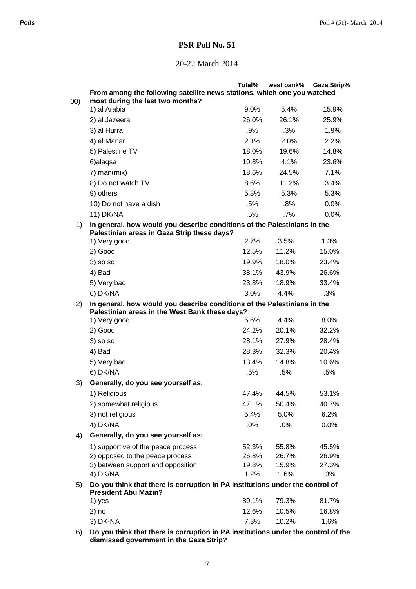## **PSR Poll No. 51**

### 20-22 March 2014

|     |                                                                                                              | Total% | west bank% | Gaza Strip% |
|-----|--------------------------------------------------------------------------------------------------------------|--------|------------|-------------|
|     | From among the following satellite news stations, which one you watched                                      |        |            |             |
| 00) | most during the last two months?<br>1) al Arabia                                                             | 9.0%   | 5.4%       | 15.9%       |
|     | 2) al Jazeera                                                                                                | 26.0%  | 26.1%      | 25.9%       |
|     | 3) al Hurra                                                                                                  | .9%    | .3%        | 1.9%        |
|     | 4) al Manar                                                                                                  | 2.1%   | 2.0%       | 2.2%        |
|     | 5) Palestine TV                                                                                              | 18.0%  | 19.6%      | 14.8%       |
|     | 6)alaqsa                                                                                                     | 10.8%  | 4.1%       | 23.6%       |
|     | 7) man(mix)                                                                                                  | 18.6%  | 24.5%      | 7.1%        |
|     | 8) Do not watch TV                                                                                           | 8.6%   | 11.2%      | 3.4%        |
|     | 9) others                                                                                                    | 5.3%   | 5.3%       | 5.3%        |
|     | 10) Do not have a dish                                                                                       | .5%    | .8%        | 0.0%        |
|     | 11) DK/NA                                                                                                    | .5%    | .7%        | 0.0%        |
|     | In general, how would you describe conditions of the Palestinians in the                                     |        |            |             |
| 1)  | Palestinian areas in Gaza Strip these days?                                                                  |        |            |             |
|     | 1) Very good                                                                                                 | 2.7%   | 3.5%       | 1.3%        |
|     | 2) Good                                                                                                      | 12.5%  | 11.2%      | 15.0%       |
|     | $3)$ so so                                                                                                   | 19.9%  | 18.0%      | 23.4%       |
|     | 4) Bad                                                                                                       | 38.1%  | 43.9%      | 26.6%       |
|     | 5) Very bad                                                                                                  | 23.8%  | 18.9%      | 33.4%       |
|     | 6) DK/NA                                                                                                     | 3.0%   | 4.4%       | .3%         |
| 2)  | In general, how would you describe conditions of the Palestinians in the                                     |        |            |             |
|     | Palestinian areas in the West Bank these days?                                                               |        |            |             |
|     | 1) Very good                                                                                                 | 5.6%   | 4.4%       | 8.0%        |
|     | 2) Good                                                                                                      | 24.2%  | 20.1%      | 32.2%       |
|     | $3)$ so so                                                                                                   | 28.1%  | 27.9%      | 28.4%       |
|     | 4) Bad                                                                                                       | 28.3%  | 32.3%      | 20.4%       |
|     | 5) Very bad                                                                                                  | 13.4%  | 14.8%      | 10.6%       |
|     | 6) DK/NA                                                                                                     | .5%    | .5%        | .5%         |
| 3)  | Generally, do you see yourself as:                                                                           |        |            |             |
|     | 1) Religious                                                                                                 | 47.4%  | 44.5%      | 53.1%       |
|     | 2) somewhat religious                                                                                        | 47.1%  | 50.4%      | 40.7%       |
|     | 3) not religious                                                                                             | 5.4%   | 5.0%       | 6.2%        |
|     | 4) DK/NA                                                                                                     | .0%    | $.0\%$     | 0.0%        |
| 4)  | Generally, do you see yourself as:                                                                           |        |            |             |
|     | 1) supportive of the peace process                                                                           | 52.3%  | 55.8%      | 45.5%       |
|     | 2) opposed to the peace process                                                                              | 26.8%  | 26.7%      | 26.9%       |
|     | 3) between support and opposition                                                                            | 19.8%  | 15.9%      | 27.3%       |
|     | 4) DK/NA                                                                                                     | 1.2%   | 1.6%       | .3%         |
| 5)  | Do you think that there is corruption in PA institutions under the control of<br><b>President Abu Mazin?</b> |        |            |             |
|     | 1) yes                                                                                                       | 80.1%  | 79.3%      | 81.7%       |
|     | 2) no                                                                                                        | 12.6%  | 10.5%      | 16.8%       |
|     | 3) DK-NA                                                                                                     | 7.3%   | 10.2%      | 1.6%        |
|     |                                                                                                              |        |            |             |

6) **Do you think that there is corruption in PA institutions under the control of the dismissed government in the Gaza Strip?**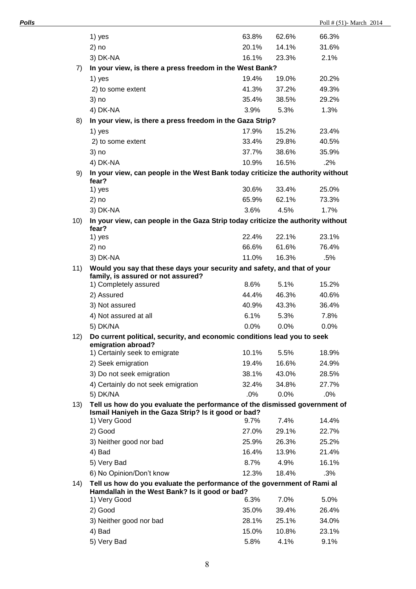|      | 1) yes                                                                                                                     | 63.8%   | 62.6%   | 66.3%          |
|------|----------------------------------------------------------------------------------------------------------------------------|---------|---------|----------------|
|      | 2) no                                                                                                                      | 20.1%   | 14.1%   | 31.6%          |
|      | 3) DK-NA                                                                                                                   | 16.1%   | 23.3%   | 2.1%           |
| 7)   | In your view, is there a press freedom in the West Bank?                                                                   |         |         |                |
|      | 1) yes                                                                                                                     | 19.4%   | 19.0%   | 20.2%          |
|      | 2) to some extent                                                                                                          | 41.3%   | 37.2%   | 49.3%          |
|      | $3)$ no                                                                                                                    | 35.4%   | 38.5%   | 29.2%          |
|      | 4) DK-NA                                                                                                                   | 3.9%    | 5.3%    | 1.3%           |
| 8)   | In your view, is there a press freedom in the Gaza Strip?                                                                  |         |         |                |
|      | 1) yes                                                                                                                     | 17.9%   | 15.2%   | 23.4%          |
|      | 2) to some extent                                                                                                          | 33.4%   | 29.8%   | 40.5%          |
|      | 3) no                                                                                                                      | 37.7%   | 38.6%   | 35.9%          |
|      | 4) DK-NA                                                                                                                   | 10.9%   | 16.5%   | $.2\%$         |
| 9)   | In your view, can people in the West Bank today criticize the authority without                                            |         |         |                |
|      | fear?                                                                                                                      |         |         |                |
|      | 1) yes                                                                                                                     | 30.6%   | 33.4%   | 25.0%          |
|      | 2) no                                                                                                                      | 65.9%   | 62.1%   | 73.3%          |
|      | 3) DK-NA                                                                                                                   | 3.6%    | 4.5%    | 1.7%           |
| 10)  | In your view, can people in the Gaza Strip today criticize the authority without<br>fear?                                  |         |         |                |
|      | 1) yes                                                                                                                     | 22.4%   | 22.1%   | 23.1%          |
|      | 2) no                                                                                                                      | 66.6%   | 61.6%   | 76.4%          |
|      | 3) DK-NA                                                                                                                   | 11.0%   | 16.3%   | .5%            |
| 11)  | Would you say that these days your security and safety, and that of your                                                   |         |         |                |
|      | family, is assured or not assured?                                                                                         |         |         |                |
|      | 1) Completely assured                                                                                                      | 8.6%    | 5.1%    | 15.2%          |
|      | 2) Assured                                                                                                                 | 44.4%   | 46.3%   | 40.6%          |
|      | 3) Not assured                                                                                                             | 40.9%   | 43.3%   | 36.4%          |
|      | 4) Not assured at all                                                                                                      | 6.1%    | 5.3%    | 7.8%           |
|      | 5) DK/NA                                                                                                                   | 0.0%    | 0.0%    | 0.0%           |
| 12)  | Do current political, security, and economic conditions lead you to seek<br>emigration abroad?                             |         |         |                |
|      | 1) Certainly seek to emigrate                                                                                              | 10.1%   | 5.5%    | 18.9%          |
|      | 2) Seek emigration                                                                                                         | 19.4%   | 16.6%   | 24.9%          |
|      | 3) Do not seek emigration                                                                                                  | 38.1%   | 43.0%   | 28.5%          |
|      | 4) Certainly do not seek emigration                                                                                        | 32.4%   | 34.8%   | 27.7%          |
|      | 5) DK/NA                                                                                                                   | .0%     | $0.0\%$ | .0%            |
| (13) | Tell us how do you evaluate the performance of the dismissed government of                                                 |         |         |                |
|      | Ismail Haniyeh in the Gaza Strip? Is it good or bad?<br>1) Very Good                                                       | $9.7\%$ | 7.4%    |                |
|      | 2) Good                                                                                                                    | 27.0%   | 29.1%   | 14.4%          |
|      | 3) Neither good nor bad                                                                                                    | 25.9%   | 26.3%   | 22.7%<br>25.2% |
|      | 4) Bad                                                                                                                     | 16.4%   | 13.9%   | 21.4%          |
|      |                                                                                                                            | 8.7%    | 4.9%    | 16.1%          |
|      | 5) Very Bad                                                                                                                |         |         | .3%            |
|      | 6) No Opinion/Don't know                                                                                                   | 12.3%   | 18.4%   |                |
| 14)  | Tell us how do you evaluate the performance of the government of Rami al<br>Hamdallah in the West Bank? Is it good or bad? |         |         |                |
|      | 1) Very Good                                                                                                               | 6.3%    | 7.0%    | 5.0%           |
|      | 2) Good                                                                                                                    | 35.0%   | 39.4%   | 26.4%          |
|      | 3) Neither good nor bad                                                                                                    | 28.1%   | 25.1%   | 34.0%          |
|      | 4) Bad                                                                                                                     | 15.0%   | 10.8%   | 23.1%          |
|      | 5) Very Bad                                                                                                                | 5.8%    | 4.1%    | 9.1%           |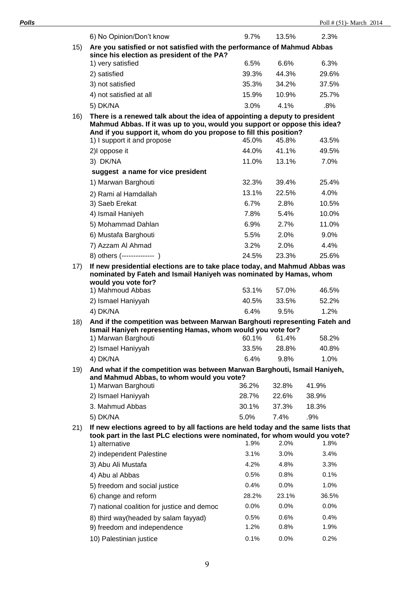|     | 6) No Opinion/Don't know                                                                                                                                                                     | $9.7\%$ | 13.5% | 2.3%  |
|-----|----------------------------------------------------------------------------------------------------------------------------------------------------------------------------------------------|---------|-------|-------|
| 15) | Are you satisfied or not satisfied with the performance of Mahmud Abbas<br>since his election as president of the PA?                                                                        |         |       |       |
|     | 1) very satisfied                                                                                                                                                                            | 6.5%    | 6.6%  | 6.3%  |
|     | 2) satisfied                                                                                                                                                                                 | 39.3%   | 44.3% | 29.6% |
|     | 3) not satisfied                                                                                                                                                                             | 35.3%   | 34.2% | 37.5% |
|     | 4) not satisfied at all                                                                                                                                                                      | 15.9%   | 10.9% | 25.7% |
|     | 5) DK/NA                                                                                                                                                                                     | 3.0%    | 4.1%  | .8%   |
| 16) | There is a renewed talk about the idea of appointing a deputy to president                                                                                                                   |         |       |       |
|     | Mahmud Abbas. If it was up to you, would you support or oppose this idea?<br>And if you support it, whom do you propose to fill this position?                                               |         |       |       |
|     | 1) I support it and propose                                                                                                                                                                  | 45.0%   | 45.8% | 43.5% |
|     | 2)I oppose it                                                                                                                                                                                | 44.0%   | 41.1% | 49.5% |
|     | 3) DK/NA                                                                                                                                                                                     | 11.0%   | 13.1% | 7.0%  |
|     | suggest a name for vice president                                                                                                                                                            |         |       |       |
|     | 1) Marwan Barghouti                                                                                                                                                                          | 32.3%   | 39.4% | 25.4% |
|     | 2) Rami al Hamdallah                                                                                                                                                                         | 13.1%   | 22.5% | 4.0%  |
|     | 3) Saeb Erekat                                                                                                                                                                               | 6.7%    | 2.8%  | 10.5% |
|     | 4) Ismail Haniyeh                                                                                                                                                                            | 7.8%    | 5.4%  | 10.0% |
|     | 5) Mohammad Dahlan                                                                                                                                                                           | 6.9%    | 2.7%  | 11.0% |
|     | 6) Mustafa Barghouti                                                                                                                                                                         | 5.5%    | 2.0%  | 9.0%  |
|     | 7) Azzam Al Ahmad                                                                                                                                                                            | 3.2%    | 2.0%  | 4.4%  |
|     | 8) others (-------------- )                                                                                                                                                                  | 24.5%   | 23.3% | 25.6% |
| 17) | If new presidential elections are to take place today, and Mahmud Abbas was<br>nominated by Fateh and Ismail Haniyeh was nominated by Hamas, whom<br>would you vote for?<br>1) Mahmoud Abbas | 53.1%   | 57.0% | 46.5% |
|     | 2) Ismael Haniyyah                                                                                                                                                                           | 40.5%   | 33.5% | 52.2% |
|     | 4) DK/NA                                                                                                                                                                                     | 6.4%    | 9.5%  | 1.2%  |
| 18) | And if the competition was between Marwan Barghouti representing Fateh and<br>Ismail Haniyeh representing Hamas, whom would you vote for?<br>1) Marwan Barghouti                             | 60.1%   | 61.4% | 58.2% |
|     | 2) Ismael Haniyyah                                                                                                                                                                           | 33.5%   | 28.8% | 40.8% |
|     | 4) DK/NA                                                                                                                                                                                     | 6.4%    | 9.8%  | 1.0%  |
| 19) | And what if the competition was between Marwan Barghouti, Ismail Haniyeh,                                                                                                                    |         |       |       |
|     | and Mahmud Abbas, to whom would you vote?                                                                                                                                                    |         |       |       |
|     | 1) Marwan Barghouti                                                                                                                                                                          | 36.2%   | 32.8% | 41.9% |
|     | 2) Ismael Haniyyah                                                                                                                                                                           | 28.7%   | 22.6% | 38.9% |
|     | 3. Mahmud Abbas                                                                                                                                                                              | 30.1%   | 37.3% | 18.3% |
|     | 5) DK/NA                                                                                                                                                                                     | 5.0%    | 7.4%  | .9%   |
| 21) | If new elections agreed to by all factions are held today and the same lists that                                                                                                            |         |       |       |
|     | took part in the last PLC elections were nominated, for whom would you vote?<br>1) alternative                                                                                               | 1.9%    | 2.0%  | 1.8%  |
|     | 2) independent Palestine                                                                                                                                                                     | 3.1%    | 3.0%  | 3.4%  |
|     | 3) Abu Ali Mustafa                                                                                                                                                                           | 4.2%    | 4.8%  | 3.3%  |
|     | 4) Abu al Abbas                                                                                                                                                                              | 0.5%    | 0.8%  | 0.1%  |
|     | 5) freedom and social justice                                                                                                                                                                | 0.4%    | 0.0%  | 1.0%  |
|     | 6) change and reform                                                                                                                                                                         | 28.2%   | 23.1% | 36.5% |
|     | 7) national coalition for justice and democ                                                                                                                                                  | $0.0\%$ | 0.0%  | 0.0%  |
|     | 8) third way(headed by salam fayyad)                                                                                                                                                         | 0.5%    | 0.6%  | 0.4%  |
|     | 9) freedom and independence                                                                                                                                                                  | 1.2%    | 0.8%  | 1.9%  |
|     | 10) Palestinian justice                                                                                                                                                                      | 0.1%    | 0.0%  | 0.2%  |
|     |                                                                                                                                                                                              |         |       |       |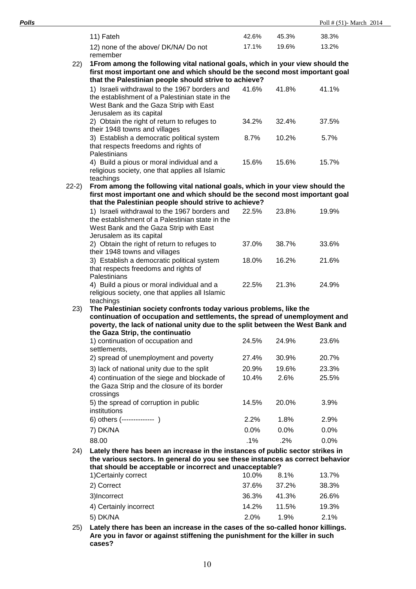| <b>Polls</b> |                                                                                                                                                                                                                                                                       |       |       | Poll # (51)- March 2014 |
|--------------|-----------------------------------------------------------------------------------------------------------------------------------------------------------------------------------------------------------------------------------------------------------------------|-------|-------|-------------------------|
|              | 11) Fateh                                                                                                                                                                                                                                                             | 42.6% | 45.3% | 38.3%                   |
|              | 12) none of the above/ DK/NA/ Do not<br>remember                                                                                                                                                                                                                      | 17.1% | 19.6% | 13.2%                   |
| 22)          | 1From among the following vital national goals, which in your view should the<br>first most important one and which should be the second most important goal<br>that the Palestinian people should strive to achieve?                                                 |       |       |                         |
|              | 1) Israeli withdrawal to the 1967 borders and<br>the establishment of a Palestinian state in the<br>West Bank and the Gaza Strip with East<br>Jerusalem as its capital                                                                                                | 41.6% | 41.8% | 41.1%                   |
|              | 2) Obtain the right of return to refuges to<br>their 1948 towns and villages                                                                                                                                                                                          | 34.2% | 32.4% | 37.5%                   |
|              | 3) Establish a democratic political system<br>that respects freedoms and rights of<br>Palestinians                                                                                                                                                                    | 8.7%  | 10.2% | 5.7%                    |
|              | 4) Build a pious or moral individual and a<br>religious society, one that applies all Islamic<br>teachings                                                                                                                                                            | 15.6% | 15.6% | 15.7%                   |
| $22-2)$      | From among the following vital national goals, which in your view should the<br>first most important one and which should be the second most important goal<br>that the Palestinian people should strive to achieve?                                                  |       |       |                         |
|              | 1) Israeli withdrawal to the 1967 borders and<br>the establishment of a Palestinian state in the<br>West Bank and the Gaza Strip with East<br>Jerusalem as its capital                                                                                                | 22.5% | 23.8% | 19.9%                   |
|              | 2) Obtain the right of return to refuges to<br>their 1948 towns and villages                                                                                                                                                                                          | 37.0% | 38.7% | 33.6%                   |
|              | 3) Establish a democratic political system<br>that respects freedoms and rights of<br>Palestinians                                                                                                                                                                    | 18.0% | 16.2% | 21.6%                   |
|              | 4) Build a pious or moral individual and a<br>religious society, one that applies all Islamic<br>teachings                                                                                                                                                            | 22.5% | 21.3% | 24.9%                   |
| 23)          | The Palestinian society confronts today various problems, like the<br>continuation of occupation and settlements, the spread of unemployment and<br>poverty, the lack of national unity due to the split between the West Bank and<br>the Gaza Strip, the continuatio |       |       |                         |
|              | 1) continuation of occupation and<br>settlements,                                                                                                                                                                                                                     | 24.5% | 24.9% | 23.6%                   |
|              | 2) spread of unemployment and poverty                                                                                                                                                                                                                                 | 27.4% | 30.9% | 20.7%                   |
|              | 3) lack of national unity due to the split                                                                                                                                                                                                                            | 20.9% | 19.6% | 23.3%                   |
|              | 4) continuation of the siege and blockade of<br>the Gaza Strip and the closure of its border<br>crossings                                                                                                                                                             | 10.4% | 2.6%  | 25.5%                   |
|              | 5) the spread of corruption in public<br>institutions                                                                                                                                                                                                                 | 14.5% | 20.0% | 3.9%                    |
|              | 6) others (--------------- )                                                                                                                                                                                                                                          | 2.2%  | 1.8%  | 2.9%                    |
|              | 7) DK/NA                                                                                                                                                                                                                                                              | 0.0%  | 0.0%  | 0.0%                    |
|              | 88.00                                                                                                                                                                                                                                                                 | .1%   | .2%   | 0.0%                    |
| 24)          | Lately there has been an increase in the instances of public sector strikes in<br>the various sectors. In general do you see these instances as correct behavior<br>that should be acceptable or incorrect and unacceptable?                                          |       |       |                         |
|              | 1) Certainly correct                                                                                                                                                                                                                                                  | 10.0% | 8.1%  | 13.7%                   |
|              | 2) Correct                                                                                                                                                                                                                                                            | 37.6% | 37.2% | 38.3%                   |
|              | 3)Incorrect                                                                                                                                                                                                                                                           | 36.3% | 41.3% | 26.6%                   |
|              | 4) Certainly incorrect                                                                                                                                                                                                                                                | 14.2% | 11.5% | 19.3%                   |
|              | 5) DK/NA                                                                                                                                                                                                                                                              | 2.0%  | 1.9%  | 2.1%                    |
|              |                                                                                                                                                                                                                                                                       |       |       |                         |

25) **Lately there has been an increase in the cases of the so-called honor killings. Are you in favor or against stiffening the punishment for the killer in such cases?**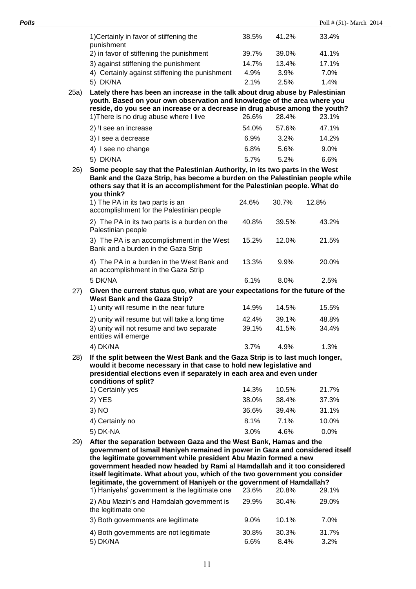|      | 1) Certainly in favor of stiffening the<br>punishment<br>2) in favor of stiffening the punishment                                                                                                                                                                                                                                                                                                                                                                                                                                                       | 38.5%<br>39.7% | 41.2%<br>39.0% | 33.4%<br>41.1% |
|------|---------------------------------------------------------------------------------------------------------------------------------------------------------------------------------------------------------------------------------------------------------------------------------------------------------------------------------------------------------------------------------------------------------------------------------------------------------------------------------------------------------------------------------------------------------|----------------|----------------|----------------|
|      | 3) against stiffening the punishment                                                                                                                                                                                                                                                                                                                                                                                                                                                                                                                    | 14.7%          | 13.4%          | 17.1%          |
|      | 4) Certainly against stiffening the punishment                                                                                                                                                                                                                                                                                                                                                                                                                                                                                                          | 4.9%           | 3.9%           | 7.0%           |
|      | 5) DK/NA                                                                                                                                                                                                                                                                                                                                                                                                                                                                                                                                                | 2.1%           | 2.5%           | 1.4%           |
| 25a) | Lately there has been an increase in the talk about drug abuse by Palestinian<br>youth. Based on your own observation and knowledge of the area where you<br>reside, do you see an increase or a decrease in drug abuse among the youth?<br>1) There is no drug abuse where I live                                                                                                                                                                                                                                                                      | 26.6%          | 28.4%          | 23.1%          |
|      | 2) I see an increase                                                                                                                                                                                                                                                                                                                                                                                                                                                                                                                                    | 54.0%          | 57.6%          | 47.1%          |
|      | 3) I see a decrease                                                                                                                                                                                                                                                                                                                                                                                                                                                                                                                                     | 6.9%           | 3.2%           | 14.2%          |
|      | 4) I see no change                                                                                                                                                                                                                                                                                                                                                                                                                                                                                                                                      | 6.8%           | 5.6%           | 9.0%           |
|      | 5) DK/NA                                                                                                                                                                                                                                                                                                                                                                                                                                                                                                                                                | 5.7%           | 5.2%           | 6.6%           |
| 26)  | Some people say that the Palestinian Authority, in its two parts in the West<br>Bank and the Gaza Strip, has become a burden on the Palestinian people while<br>others say that it is an accomplishment for the Palestinian people. What do<br>you think?<br>1) The PA in its two parts is an                                                                                                                                                                                                                                                           | 24.6%          | 30.7%          | 12.8%          |
|      | accomplishment for the Palestinian people                                                                                                                                                                                                                                                                                                                                                                                                                                                                                                               |                |                |                |
|      | 2) The PA in its two parts is a burden on the<br>Palestinian people                                                                                                                                                                                                                                                                                                                                                                                                                                                                                     | 40.8%          | 39.5%          | 43.2%          |
|      | 3) The PA is an accomplishment in the West<br>Bank and a burden in the Gaza Strip                                                                                                                                                                                                                                                                                                                                                                                                                                                                       | 15.2%          | 12.0%          | 21.5%          |
|      | 4) The PA in a burden in the West Bank and<br>an accomplishment in the Gaza Strip                                                                                                                                                                                                                                                                                                                                                                                                                                                                       | 13.3%          | 9.9%           | 20.0%          |
|      | 5 DK/NA                                                                                                                                                                                                                                                                                                                                                                                                                                                                                                                                                 | 6.1%           | 8.0%           | $2.5\%$        |
| 27)  | Given the current status quo, what are your expectations for the future of the                                                                                                                                                                                                                                                                                                                                                                                                                                                                          |                |                |                |
|      | West Bank and the Gaza Strip?                                                                                                                                                                                                                                                                                                                                                                                                                                                                                                                           |                |                |                |
|      | 1) unity will resume in the near future                                                                                                                                                                                                                                                                                                                                                                                                                                                                                                                 | 14.9%          | 14.5%          | 15.5%          |
|      | 2) unity will resume but will take a long time<br>3) unity will not resume and two separate<br>entities will emerge                                                                                                                                                                                                                                                                                                                                                                                                                                     | 42.4%<br>39.1% | 39.1%<br>41.5% | 48.8%<br>34.4% |
|      | 4) DK/NA                                                                                                                                                                                                                                                                                                                                                                                                                                                                                                                                                | 3.7%           | 4.9%           | 1.3%           |
| 28)  | If the split between the West Bank and the Gaza Strip is to last much longer,<br>would it become necessary in that case to hold new legislative and<br>presidential elections even if separately in each area and even under<br>conditions of split?                                                                                                                                                                                                                                                                                                    | 14.3%          |                |                |
|      | 1) Certainly yes                                                                                                                                                                                                                                                                                                                                                                                                                                                                                                                                        | 38.0%          | 10.5%<br>38.4% | 21.7%<br>37.3% |
|      | 2) YES                                                                                                                                                                                                                                                                                                                                                                                                                                                                                                                                                  |                |                |                |
|      | 3) NO                                                                                                                                                                                                                                                                                                                                                                                                                                                                                                                                                   | 36.6%          | 39.4%          | 31.1%          |
|      | 4) Certainly no                                                                                                                                                                                                                                                                                                                                                                                                                                                                                                                                         | 8.1%           | 7.1%           | 10.0%          |
|      | 5) DK-NA                                                                                                                                                                                                                                                                                                                                                                                                                                                                                                                                                | 3.0%           | 4.6%           | 0.0%           |
| 29)  | After the separation between Gaza and the West Bank, Hamas and the<br>government of Ismail Haniyeh remained in power in Gaza and considered itself<br>the legitimate government while president Abu Mazin formed a new<br>government headed now headed by Rami al Hamdallah and it too considered<br>itself legitimate. What about you, which of the two government you consider<br>legitimate, the government of Haniyeh or the government of Hamdallah?<br>1) Haniyehs' government is the legitimate one<br>2) Abu Mazin's and Hamdalah government is | 23.6%<br>29.9% | 20.8%<br>30.4% | 29.1%<br>29.0% |
|      | the legitimate one                                                                                                                                                                                                                                                                                                                                                                                                                                                                                                                                      |                |                |                |
|      | 3) Both governments are legitimate                                                                                                                                                                                                                                                                                                                                                                                                                                                                                                                      | 9.0%           | 10.1%          | 7.0%           |
|      | 4) Both governments are not legitimate<br>5) DK/NA                                                                                                                                                                                                                                                                                                                                                                                                                                                                                                      | 30.8%<br>6.6%  | 30.3%<br>8.4%  | 31.7%<br>3.2%  |
|      |                                                                                                                                                                                                                                                                                                                                                                                                                                                                                                                                                         |                |                |                |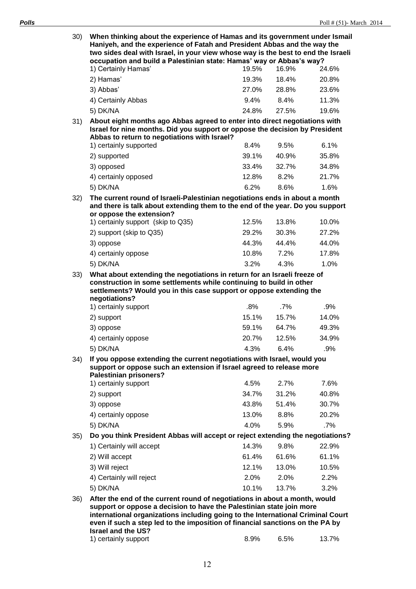30) **When thinking about the experience of Hamas and its government under Ismail Haniyeh, and the experience of Fatah and President Abbas and the way the two sides deal with Israel, in your view whose way is the best to end the Israeli occupation and build a Palestinian state: Hamas' way or Abbas's way?** 1) Certainly Hamas' 19.5% 16.9% 24.6% 2) Hamas' 19.3% 18.4% 20.8% 3) Abbas' 27.0% 28.8% 23.6% 4) Certainly Abbas 9.4% 8.4% 11.3% 5) DK/NA 24.8% 27.5% 19.6% 31) **About eight months ago Abbas agreed to enter into direct negotiations with Israel for nine months. Did you support or oppose the decision by President Abbas to return to negotiations with Israel?** 1) certainly supported a metal of the state  $8.4\%$  and  $9.5\%$  and  $6.1\%$ 2) supported 39.1% 40.9% 35.8% 3) opposed 33.4% 32.7% 34.8% 4) certainly opposed 12.8% 8.2% 21.7% 5) DK/NA 6.2% 8.6% 1.6% 32) **The current round of Israeli-Palestinian negotiations ends in about a month and there is talk about extending them to the end of the year. Do you support or oppose the extension?** 1) certainly support (skip to Q35) 12.5% 13.8% 10.0% 2) support (skip to Q35) 29.2% 30.3% 27.2% 3) oppose 44.3% 44.4% 44.0% 4) certainly oppose 10.8% 7.2% 17.8% 5) DK/NA 3.2% 4.3% 1.0% 33) **What about extending the negotiations in return for an Israeli freeze of construction in some settlements while continuing to build in other settlements? Would you in this case support or oppose extending the negotiations?** 1) certainly support .8% .7% .9% 2) support 15.1% 15.7% 14.0% 3) oppose 59.1% 64.7% 49.3% 4) certainly oppose 20.7% 12.5% 34.9% 5) DK/NA 4.3% 6.4% .9% 34) **If you oppose extending the current negotiations with Israel, would you support or oppose such an extension if Israel agreed to release more Palestinian prisoners?** 1) certainly support 4.5% 2.7% 7.6% 2) support 34.7% 31.2% 40.8% 3) oppose 43.8% 51.4% 30.7% 4) certainly oppose 13.0% 8.8% 20.2% 5) DK/NA 4.0% 5.9% .7% 35) **Do you think President Abbas will accept or reject extending the negotiations?** 1) Certainly will accept 14.3% 9.8% 22.9% 2) Will accept 61.4% 61.6% 61.1% 3) Will reject 12.1% 13.0% 10.5% 4) Certainly will reject 2.0% 2.0% 2.2% 5) DK/NA 10.1% 13.7% 3.2% 36) **After the end of the current round of negotiations in about a month, would support or oppose a decision to have the Palestinian state join more** 

**international organizations including going to the International Criminal Court even if such a step led to the imposition of financial sanctions on the PA by Israel and the US?** 1) certainly support 8.9% 6.5% 13.7%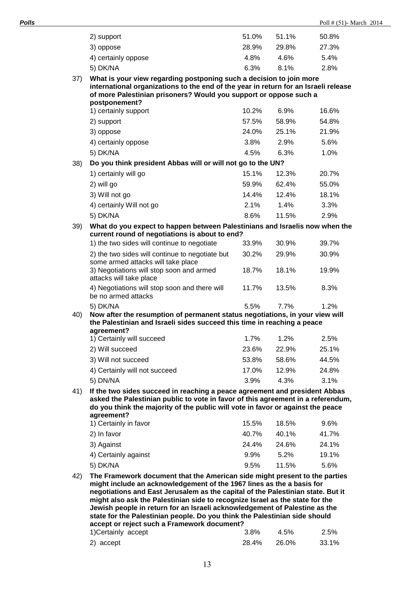|     | 2) support                                                                                                                                                                                                                                        | 51.0% | 51.1% | 50.8% |
|-----|---------------------------------------------------------------------------------------------------------------------------------------------------------------------------------------------------------------------------------------------------|-------|-------|-------|
|     | 3) oppose                                                                                                                                                                                                                                         | 28.9% | 29.8% | 27.3% |
|     | 4) certainly oppose                                                                                                                                                                                                                               | 4.8%  | 4.6%  | 5.4%  |
|     | 5) DK/NA                                                                                                                                                                                                                                          | 6.3%  | 8.1%  | 2.8%  |
| 37) | What is your view regarding postponing such a decision to join more                                                                                                                                                                               |       |       |       |
|     | international organizations to the end of the year in return for an Israeli release                                                                                                                                                               |       |       |       |
|     | of more Palestinian prisoners? Would you support or oppose such a                                                                                                                                                                                 |       |       |       |
|     | postponement?<br>1) certainly support                                                                                                                                                                                                             | 10.2% | 6.9%  | 16.6% |
|     | 2) support                                                                                                                                                                                                                                        | 57.5% | 58.9% | 54.8% |
|     | 3) oppose                                                                                                                                                                                                                                         | 24.0% | 25.1% | 21.9% |
|     |                                                                                                                                                                                                                                                   | 3.8%  | 2.9%  | 5.6%  |
|     | 4) certainly oppose                                                                                                                                                                                                                               |       |       |       |
|     | 5) DK/NA                                                                                                                                                                                                                                          | 4.5%  | 6.3%  | 1.0%  |
| 38) | Do you think president Abbas will or will not go to the UN?                                                                                                                                                                                       |       |       |       |
|     | 1) certainly will go                                                                                                                                                                                                                              | 15.1% | 12.3% | 20.7% |
|     | 2) will go                                                                                                                                                                                                                                        | 59.9% | 62.4% | 55.0% |
|     | 3) Will not go                                                                                                                                                                                                                                    | 14.4% | 12.4% | 18.1% |
|     | 4) certainly Will not go                                                                                                                                                                                                                          | 2.1%  | 1.4%  | 3.3%  |
|     | 5) DK/NA                                                                                                                                                                                                                                          | 8.6%  | 11.5% | 2.9%  |
| 39) | What do you expect to happen between Palestinians and Israelis now when the<br>current round of negotiations is about to end?                                                                                                                     |       |       |       |
|     | 1) the two sides will continue to negotiate                                                                                                                                                                                                       | 33.9% | 30.9% | 39.7% |
|     | 2) the two sides will continue to negotiate but                                                                                                                                                                                                   | 30.2% | 29.9% | 30.9% |
|     | some armed attacks will take place                                                                                                                                                                                                                |       |       |       |
|     | 3) Negotiations will stop soon and armed<br>attacks will take place                                                                                                                                                                               | 18.7% | 18.1% | 19.9% |
|     | 4) Negotiations will stop soon and there will<br>be no armed attacks                                                                                                                                                                              | 11.7% | 13.5% | 8.3%  |
|     | 5) DK/NA                                                                                                                                                                                                                                          | 5.5%  | 7.7%  | 1.2%  |
| 40) | Now after the resumption of permanent status negotiations, in your view will                                                                                                                                                                      |       |       |       |
|     | the Palestinian and Israeli sides succeed this time in reaching a peace<br>agreement?                                                                                                                                                             |       |       |       |
|     | 1) Certainly will succeed                                                                                                                                                                                                                         | 1.7%  | 1.2%  | 2.5%  |
|     | 2) Will succeed                                                                                                                                                                                                                                   | 23.6% | 22.9% | 25.1% |
|     | 3) Will not succeed                                                                                                                                                                                                                               | 53.8% | 58.6% | 44.5% |
|     | 4) Certainly will not succeed                                                                                                                                                                                                                     | 17.0% | 12.9% | 24.8% |
|     | 5) DN/NA                                                                                                                                                                                                                                          | 3.9%  | 4.3%  | 3.1%  |
| 41) | If the two sides succeed in reaching a peace agreement and president Abbas<br>asked the Palestinian public to vote in favor of this agreement in a referendum,<br>do you think the majority of the public will vote in favor or against the peace |       |       |       |
|     | agreement?                                                                                                                                                                                                                                        |       |       |       |
|     | 1) Certainly in favor                                                                                                                                                                                                                             | 15.5% | 18.5% | 9.6%  |
|     | 2) In favor                                                                                                                                                                                                                                       | 40.7% | 40.1% | 41.7% |
|     | 3) Against                                                                                                                                                                                                                                        | 24.4% | 24.6% | 24.1% |
|     | 4) Certainly against                                                                                                                                                                                                                              | 9.9%  | 5.2%  | 19.1% |
|     | 5) DK/NA                                                                                                                                                                                                                                          | 9.5%  | 11.5% | 5.6%  |
| 42) | The Framework document that the American side might present to the parties                                                                                                                                                                        |       |       |       |
|     | might include an acknowledgement of the 1967 lines as the a basis for<br>nogotiations and East Jerusalem as the canital of the Palestinian state. But it                                                                                          |       |       |       |

**negotiations and East Jerusalem as the capital of the Palestinian state. But it might also ask the Palestinian side to recognize Israel as the state for the Jewish people in return for an Israeli acknowledgement of Palestine as the state for the Palestinian people. Do you think the Palestinian side should accept or reject such a Framework document?** 1)Certainly accept 3.8% 4.5% 2.5%

13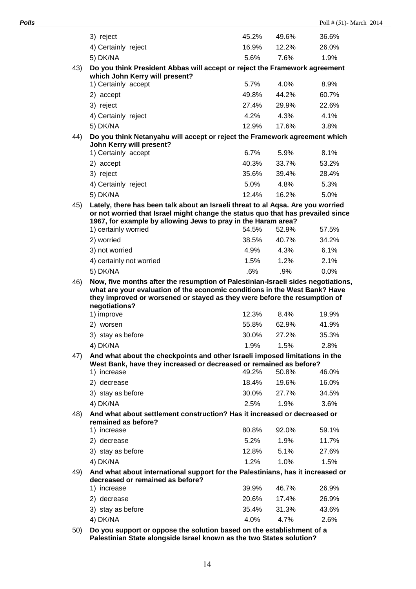|                   | 3) reject                                                                                                                                                                                                                           | 45.2%   | 49.6% | 36.6% |
|-------------------|-------------------------------------------------------------------------------------------------------------------------------------------------------------------------------------------------------------------------------------|---------|-------|-------|
|                   | 4) Certainly reject                                                                                                                                                                                                                 | 16.9%   | 12.2% | 26.0% |
|                   | 5) DK/NA                                                                                                                                                                                                                            | 5.6%    | 7.6%  | 1.9%  |
| 43)               | Do you think President Abbas will accept or reject the Framework agreement<br>which John Kerry will present?                                                                                                                        |         |       |       |
|                   | 1) Certainly accept                                                                                                                                                                                                                 | 5.7%    | 4.0%  | 8.9%  |
|                   | 2) accept                                                                                                                                                                                                                           | 49.8%   | 44.2% | 60.7% |
|                   | 3) reject                                                                                                                                                                                                                           | 27.4%   | 29.9% | 22.6% |
|                   | 4) Certainly reject                                                                                                                                                                                                                 | 4.2%    | 4.3%  | 4.1%  |
|                   | 5) DK/NA                                                                                                                                                                                                                            | 12.9%   | 17.6% | 3.8%  |
| 44)               | Do you think Netanyahu will accept or reject the Framework agreement which                                                                                                                                                          |         |       |       |
|                   | John Kerry will present?<br>1) Certainly accept                                                                                                                                                                                     | 6.7%    | 5.9%  | 8.1%  |
|                   |                                                                                                                                                                                                                                     | 40.3%   | 33.7% | 53.2% |
|                   | 2) accept                                                                                                                                                                                                                           |         |       |       |
|                   | 3) reject                                                                                                                                                                                                                           | 35.6%   | 39.4% | 28.4% |
|                   | 4) Certainly reject                                                                                                                                                                                                                 | $5.0\%$ | 4.8%  | 5.3%  |
|                   | 5) DK/NA                                                                                                                                                                                                                            | 12.4%   | 16.2% | 5.0%  |
| 45)               | Lately, there has been talk about an Israeli threat to al Aqsa. Are you worried<br>or not worried that Israel might change the status quo that has prevailed since<br>1967, for example by allowing Jews to pray in the Haram area? |         |       |       |
|                   | 1) certainly worried                                                                                                                                                                                                                | 54.5%   | 52.9% | 57.5% |
|                   | 2) worried                                                                                                                                                                                                                          | 38.5%   | 40.7% | 34.2% |
|                   | 3) not worried                                                                                                                                                                                                                      | 4.9%    | 4.3%  | 6.1%  |
|                   | 4) certainly not worried                                                                                                                                                                                                            | 1.5%    | 1.2%  | 2.1%  |
|                   | 5) DK/NA                                                                                                                                                                                                                            | $.6\%$  | .9%   | 0.0%  |
|                   | Now, five months after the resumption of Palestinian-Israeli sides negotiations,                                                                                                                                                    |         |       |       |
| 46)               | what are your evaluation of the economic conditions in the West Bank? Have                                                                                                                                                          |         |       |       |
|                   | they improved or worsened or stayed as they were before the resumption of<br>negotiations?                                                                                                                                          |         |       |       |
|                   |                                                                                                                                                                                                                                     |         |       |       |
|                   | 1) improve                                                                                                                                                                                                                          | 12.3%   | 8.4%  | 19.9% |
|                   | 2) worsen                                                                                                                                                                                                                           | 55.8%   | 62.9% | 41.9% |
|                   | 3) stay as before                                                                                                                                                                                                                   | 30.0%   | 27.2% | 35.3% |
|                   | 4) DK/NA                                                                                                                                                                                                                            | 1.9%    | 1.5%  | 2.8%  |
|                   | And what about the checkpoints and other Israeli imposed limitations in the<br>West Bank, have they increased or decreased or remained as before?                                                                                   |         |       |       |
|                   | 1) increase                                                                                                                                                                                                                         | 49.2%   | 50.8% | 46.0% |
|                   | 2) decrease                                                                                                                                                                                                                         | 18.4%   | 19.6% | 16.0% |
|                   | 3) stay as before                                                                                                                                                                                                                   | 30.0%   | 27.7% | 34.5% |
|                   | 4) DK/NA                                                                                                                                                                                                                            | 2.5%    | 1.9%  | 3.6%  |
|                   | And what about settlement construction? Has it increased or decreased or<br>remained as before?                                                                                                                                     |         |       |       |
|                   | 1) increase                                                                                                                                                                                                                         | 80.8%   | 92.0% | 59.1% |
|                   | 2) decrease                                                                                                                                                                                                                         | 5.2%    | 1.9%  | 11.7% |
|                   | 3) stay as before                                                                                                                                                                                                                   | 12.8%   | 5.1%  | 27.6% |
|                   | 4) DK/NA                                                                                                                                                                                                                            | 1.2%    | 1.0%  | 1.5%  |
| 47)<br>48)<br>49) | And what about international support for the Palestinians, has it increased or<br>decreased or remained as before?                                                                                                                  |         |       |       |
|                   | 1) increase                                                                                                                                                                                                                         | 39.9%   | 46.7% | 26.9% |
|                   | 2) decrease                                                                                                                                                                                                                         | 20.6%   | 17.4% | 26.9% |
|                   | 3) stay as before                                                                                                                                                                                                                   | 35.4%   | 31.3% | 43.6% |

50) **Do you support or oppose the solution based on the establishment of a Palestinian State alongside Israel known as the two States solution?**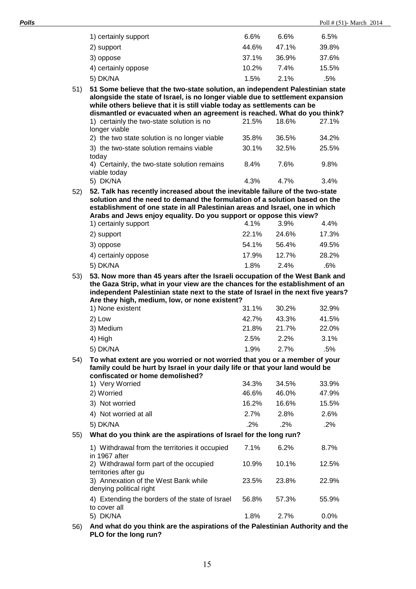|     | 1) certainly support                                                                                                                                                                                                                                                                                                                                                 | 6.6%  | 6.6%  | 6.5%  |
|-----|----------------------------------------------------------------------------------------------------------------------------------------------------------------------------------------------------------------------------------------------------------------------------------------------------------------------------------------------------------------------|-------|-------|-------|
|     | 2) support                                                                                                                                                                                                                                                                                                                                                           | 44.6% | 47.1% | 39.8% |
|     | 3) oppose                                                                                                                                                                                                                                                                                                                                                            | 37.1% | 36.9% | 37.6% |
|     | 4) certainly oppose                                                                                                                                                                                                                                                                                                                                                  | 10.2% | 7.4%  | 15.5% |
|     | 5) DK/NA                                                                                                                                                                                                                                                                                                                                                             | 1.5%  | 2.1%  | .5%   |
| 51) | 51 Some believe that the two-state solution, an independent Palestinian state<br>alongside the state of Israel, is no longer viable due to settlement expansion<br>while others believe that it is still viable today as settlements can be<br>dismantled or evacuated when an agreement is reached. What do you think?<br>1) certainly the two-state solution is no | 21.5% | 18.6% | 27.1% |

| longer viable                                 |          |          |       |
|-----------------------------------------------|----------|----------|-------|
| 2) the two state solution is no longer viable | 35.8%    | 36.5%    | 34.2% |
| 3) the two-state solution remains viable      | $30.1\%$ | $32.5\%$ | 25.5% |
| today                                         |          |          |       |
| 4) Certainly, the two-state solution remains  | $8.4\%$  | 7.6%     | 9.8%  |
| viable today                                  |          |          |       |
| 5) DK/NA                                      | 4.3%     | $4.7\%$  | 3.4%  |

52) **52. Talk has recently increased about the inevitable failure of the two-state solution and the need to demand the formulation of a solution based on the establishment of one state in all Palestinian areas and Israel, one in which Arabs and Jews enjoy equality. Do you support or oppose this view?**

| 1) certainly support | $4.1\%$ | 3.9%    | 4.4%  |
|----------------------|---------|---------|-------|
| 2) support           | 22.1%   | 24.6%   | 17.3% |
| 3) oppose            | 54.1%   | 56.4%   | 49.5% |
| 4) certainly oppose  | 17.9%   | 127%    | 28.2% |
| 5) DK/NA             | 1.8%    | $2.4\%$ | .6%   |

53) **53. Now more than 45 years after the Israeli occupation of the West Bank and the Gaza Strip, what in your view are the chances for the establishment of an independent Palestinian state next to the state of Israel in the next five years? Are they high, medium, low, or none existent?**

| 1) None existent | 31.1%   | 30.2%   | 32.9%   |
|------------------|---------|---------|---------|
| 2) Low           | 42.7%   | 43.3%   | 41.5%   |
| 3) Medium        | 21.8%   | 21.7%   | 22.0%   |
| 4) High          | $2.5\%$ | $2.2\%$ | $3.1\%$ |
| 5) DK/NA         | 1.9%    | $2.7\%$ | .5%     |

#### 54) **To what extent are you worried or not worried that you or a member of your family could be hurt by Israel in your daily life or that your land would be confiscated or home demolished?**

|     | 1) Very Worried                                                   | 34.3%   | 34.5%  | 33.9%   |
|-----|-------------------------------------------------------------------|---------|--------|---------|
|     | 2) Worried                                                        | 46.6%   | 46.0%  | 47.9%   |
|     | 3) Not worried                                                    | 16.2%   | 16.6%  | 15.5%   |
|     | 4) Not worried at all                                             | 2.7%    | 2.8%   | 2.6%    |
|     | 5) DK/NA                                                          | .2%     | $.2\%$ | .2%     |
| 55) | What do you think are the aspirations of Israel for the long run? |         |        |         |
|     | 1) Withdrawal from the territories it occupied<br>in 1967 after   | $7.1\%$ | 6.2%   | 8.7%    |
|     | 2) Withdrawal form part of the occupied<br>territories after gu   | 10.9%   | 10.1%  | 12.5%   |
|     | 3) Annexation of the West Bank while<br>denying political right   | 23.5%   | 23.8%  | 22.9%   |
|     | 4) Extending the borders of the state of Israel<br>to cover all   | 56.8%   | 57.3%  | 55.9%   |
|     | 5) DK/NA                                                          | 1.8%    | 2.7%   | $0.0\%$ |
|     |                                                                   |         |        |         |

56) **And what do you think are the aspirations of the Palestinian Authority and the PLO for the long run?**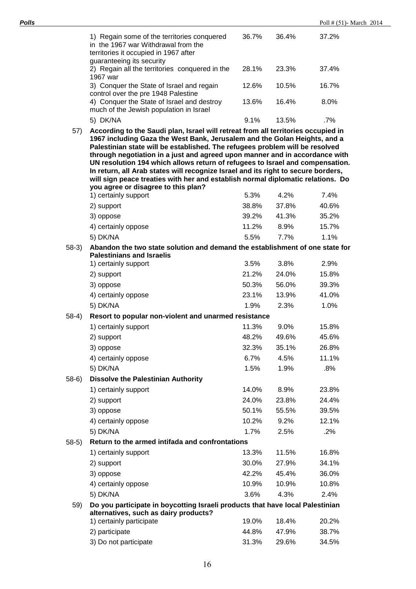| 1) Regain some of the territories conquered<br>in the 1967 war Withdrawal from the<br>territories it occupied in 1967 after<br>guaranteeing its security | 36.7% | 364%     | 37.2% |
|----------------------------------------------------------------------------------------------------------------------------------------------------------|-------|----------|-------|
| 2) Regain all the territories conquered in the<br>1967 war                                                                                               | 28.1% | 23.3%    | 37.4% |
| 3) Conquer the State of Israel and regain<br>control over the pre 1948 Palestine                                                                         | 12.6% | 10.5%    | 16.7% |
| 4) Conquer the State of Israel and destroy<br>much of the Jewish population in Israel                                                                    | 13.6% | 16.4%    | 8.0%  |
| DK/NA                                                                                                                                                    | 9.1%  | $13.5\%$ | 7%.   |

57) **According to the Saudi plan, Israel will retreat from all territories occupied in 1967 including Gaza the West Bank, Jerusalem and the Golan Heights, and a Palestinian state will be established. The refugees problem will be resolved through negotiation in a just and agreed upon manner and in accordance with UN resolution 194 which allows return of refugees to Israel and compensation. In return, all Arab states will recognize Israel and its right to secure borders, will sign peace treaties with her and establish normal diplomatic relations. Do you agree or disagree to this plan?**

| you agree or disagree to this plan ? |       |         |       |
|--------------------------------------|-------|---------|-------|
| 1) certainly support                 | 5.3%  | 4.2%    | 7.4%  |
| 2) support                           | 38.8% | 37.8%   | 40.6% |
| 3) oppose                            | 39.2% | 41.3%   | 35.2% |
| 4) certainly oppose                  | 11.2% | 8.9%    | 15.7% |
| 5) DK/NA                             | 5.5%  | $7.7\%$ | 1.1%  |

#### 58-3) **Abandon the two state solution and demand the establishment of one state for Palestinians and Israelis**

|       | 1) certainly support                                                                                                   | 3.5%  | 3.8%    | 2.9%   |  |
|-------|------------------------------------------------------------------------------------------------------------------------|-------|---------|--------|--|
|       | 2) support                                                                                                             | 21.2% | 24.0%   | 15.8%  |  |
|       | 3) oppose                                                                                                              | 50.3% | 56.0%   | 39.3%  |  |
|       | 4) certainly oppose                                                                                                    | 23.1% | 13.9%   | 41.0%  |  |
|       | 5) DK/NA                                                                                                               | 1.9%  | 2.3%    | 1.0%   |  |
| 58-4) | Resort to popular non-violent and unarmed resistance                                                                   |       |         |        |  |
|       | 1) certainly support                                                                                                   | 11.3% | $9.0\%$ | 15.8%  |  |
|       | 2) support                                                                                                             | 48.2% | 49.6%   | 45.6%  |  |
|       | 3) oppose                                                                                                              | 32.3% | 35.1%   | 26.8%  |  |
|       | 4) certainly oppose                                                                                                    | 6.7%  | 4.5%    | 11.1%  |  |
|       | 5) DK/NA                                                                                                               | 1.5%  | 1.9%    | .8%    |  |
| 58-6) | <b>Dissolve the Palestinian Authority</b>                                                                              |       |         |        |  |
|       | 1) certainly support                                                                                                   | 14.0% | 8.9%    | 23.8%  |  |
|       | 2) support                                                                                                             | 24.0% | 23.8%   | 24.4%  |  |
|       | 3) oppose                                                                                                              | 50.1% | 55.5%   | 39.5%  |  |
|       | 4) certainly oppose                                                                                                    | 10.2% | 9.2%    | 12.1%  |  |
|       | 5) DK/NA                                                                                                               | 1.7%  | 2.5%    | $.2\%$ |  |
| 58-5) | Return to the armed intifada and confrontations                                                                        |       |         |        |  |
|       | 1) certainly support                                                                                                   | 13.3% | 11.5%   | 16.8%  |  |
|       | 2) support                                                                                                             | 30.0% | 27.9%   | 34.1%  |  |
|       | 3) oppose                                                                                                              | 42.2% | 45.4%   | 36.0%  |  |
|       | 4) certainly oppose                                                                                                    | 10.9% | 10.9%   | 10.8%  |  |
|       | 5) DK/NA                                                                                                               | 3.6%  | 4.3%    | 2.4%   |  |
| 59)   | Do you participate in boycotting Israeli products that have local Palestinian<br>alternatives, such as dairy products? |       |         |        |  |
|       | 1) certainly participate                                                                                               | 19.0% | 18.4%   | 20.2%  |  |
|       | 2) participate                                                                                                         | 44.8% | 47.9%   | 38.7%  |  |
|       | 3) Do not participate                                                                                                  | 31.3% | 29.6%   | 34.5%  |  |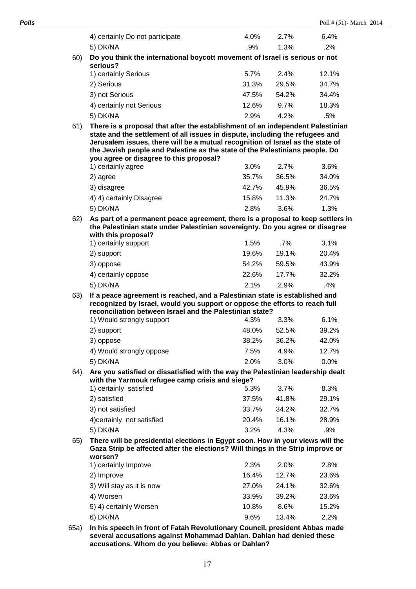|     | 4) certainly Do not participate                                                                                                                                                                                                                                                                                                                                                                   | 4.0%          | 2.7%  | 6.4%   |  |
|-----|---------------------------------------------------------------------------------------------------------------------------------------------------------------------------------------------------------------------------------------------------------------------------------------------------------------------------------------------------------------------------------------------------|---------------|-------|--------|--|
|     | 5) DK/NA                                                                                                                                                                                                                                                                                                                                                                                          | .9%           | 1.3%  | .2%    |  |
| 60) | Do you think the international boycott movement of Israel is serious or not<br>serious?                                                                                                                                                                                                                                                                                                           |               |       |        |  |
|     | 1) certainly Serious                                                                                                                                                                                                                                                                                                                                                                              | 5.7%          | 2.4%  | 12.1%  |  |
|     | 2) Serious                                                                                                                                                                                                                                                                                                                                                                                        | 31.3%         | 29.5% | 34.7%  |  |
|     | 3) not Serious                                                                                                                                                                                                                                                                                                                                                                                    | 47.5%         | 54.2% | 34.4%  |  |
|     | 4) certainly not Serious                                                                                                                                                                                                                                                                                                                                                                          | 12.6%         | 9.7%  | 18.3%  |  |
|     | 5) DK/NA                                                                                                                                                                                                                                                                                                                                                                                          | 2.9%          | 4.2%  | .5%    |  |
| 61) | There is a proposal that after the establishment of an independent Palestinian<br>state and the settlement of all issues in dispute, including the refugees and<br>Jerusalem issues, there will be a mutual recognition of Israel as the state of<br>the Jewish people and Palestine as the state of the Palestinians people. Do<br>you agree or disagree to this proposal?<br>1) certainly agree | 2.7%          | 3.6%  |        |  |
|     | 2) agree                                                                                                                                                                                                                                                                                                                                                                                          | 3.0%<br>35.7% | 36.5% | 34.0%  |  |
|     | 3) disagree                                                                                                                                                                                                                                                                                                                                                                                       | 42.7%         | 45.9% | 36.5%  |  |
|     | 4) 4) certainly Disagree                                                                                                                                                                                                                                                                                                                                                                          | 15.8%         | 11.3% | 24.7%  |  |
|     | 5) DK/NA                                                                                                                                                                                                                                                                                                                                                                                          | 2.8%          | 3.6%  | 1.3%   |  |
| 62) | As part of a permanent peace agreement, there is a proposal to keep settlers in                                                                                                                                                                                                                                                                                                                   |               |       |        |  |
|     | the Palestinian state under Palestinian sovereignty. Do you agree or disagree<br>with this proposal?                                                                                                                                                                                                                                                                                              |               |       |        |  |
|     | 1) certainly support                                                                                                                                                                                                                                                                                                                                                                              | 1.5%          | .7%   | 3.1%   |  |
|     | 2) support                                                                                                                                                                                                                                                                                                                                                                                        | 19.6%         | 19.1% | 20.4%  |  |
|     | 3) oppose                                                                                                                                                                                                                                                                                                                                                                                         | 54.2%         | 59.5% | 43.9%  |  |
|     | 4) certainly oppose                                                                                                                                                                                                                                                                                                                                                                               | 22.6%         | 17.7% | 32.2%  |  |
|     | 5) DK/NA                                                                                                                                                                                                                                                                                                                                                                                          | 2.1%          | 2.9%  | $.4\%$ |  |
| 63) | If a peace agreement is reached, and a Palestinian state is established and<br>recognized by Israel, would you support or oppose the efforts to reach full<br>reconciliation between Israel and the Palestinian state?<br>1) Would strongly support<br>4.3%<br>6.1%<br>3.3%                                                                                                                       |               |       |        |  |
|     | 2) support                                                                                                                                                                                                                                                                                                                                                                                        | 48.0%         | 52.5% | 39.2%  |  |
|     | 3) oppose                                                                                                                                                                                                                                                                                                                                                                                         | 38.2%         | 36.2% | 42.0%  |  |
|     | 4) Would strongly oppose                                                                                                                                                                                                                                                                                                                                                                          | 7.5%          | 4.9%  | 12.7%  |  |
|     | 5) DK/NA                                                                                                                                                                                                                                                                                                                                                                                          | 2.0%          | 3.0%  | 0.0%   |  |
| 64) |                                                                                                                                                                                                                                                                                                                                                                                                   |               |       |        |  |
|     | Are you satisfied or dissatisfied with the way the Palestinian leadership dealt<br>with the Yarmouk refugee camp crisis and siege?                                                                                                                                                                                                                                                                |               |       |        |  |
|     | 1) certainly satisfied                                                                                                                                                                                                                                                                                                                                                                            | 5.3%          | 3.7%  | 8.3%   |  |
|     | 2) satisfied                                                                                                                                                                                                                                                                                                                                                                                      | 37.5%         | 41.8% | 29.1%  |  |
|     | 3) not satisfied                                                                                                                                                                                                                                                                                                                                                                                  | 33.7%         | 34.2% | 32.7%  |  |
|     | 4) certainly not satisfied                                                                                                                                                                                                                                                                                                                                                                        | 20.4%         | 16.1% | 28.9%  |  |
|     | 5) DK/NA                                                                                                                                                                                                                                                                                                                                                                                          | 3.2%          | 4.3%  | .9%    |  |
| 65) | There will be presidential elections in Egypt soon. How in your views will the<br>Gaza Strip be affected after the elections? Will things in the Strip improve or<br>worsen?                                                                                                                                                                                                                      |               |       |        |  |
|     | 1) certainly Improve                                                                                                                                                                                                                                                                                                                                                                              | 2.3%          | 2.0%  | 2.8%   |  |
|     | 2) Improve                                                                                                                                                                                                                                                                                                                                                                                        | 16.4%         | 12.7% | 23.6%  |  |
|     | 3) Will stay as it is now                                                                                                                                                                                                                                                                                                                                                                         | 27.0%         | 24.1% | 32.6%  |  |
|     | 4) Worsen                                                                                                                                                                                                                                                                                                                                                                                         | 33.9%         | 39.2% | 23.6%  |  |
|     | 5) 4) certainly Worsen                                                                                                                                                                                                                                                                                                                                                                            | 10.8%         | 8.6%  | 15.2%  |  |
|     | 6) DK/NA                                                                                                                                                                                                                                                                                                                                                                                          | 9.6%          | 13.4% | 2.2%   |  |
|     |                                                                                                                                                                                                                                                                                                                                                                                                   |               |       |        |  |

65a) **In his speech in front of Fatah Revolutionary Council, president Abbas made several accusations against Mohammad Dahlan. Dahlan had denied these accusations. Whom do you believe: Abbas or Dahlan?**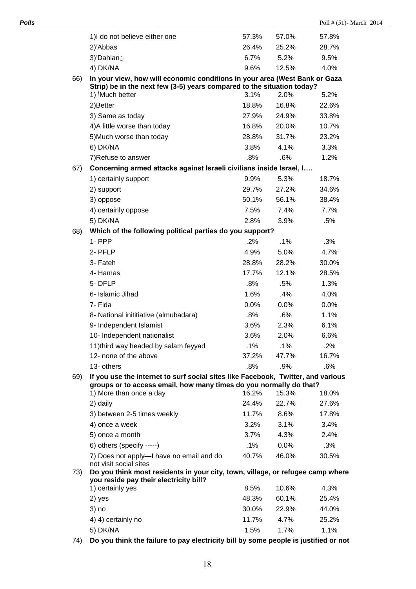|     | 1)I do not believe either one                                                                                            | 57.3%  | 57.0%   | 57.8% |  |
|-----|--------------------------------------------------------------------------------------------------------------------------|--------|---------|-------|--|
|     | 2) Abbas                                                                                                                 | 26.4%  | 25.2%   | 28.7% |  |
|     | نDahlan(3)                                                                                                               | 6.7%   | 5.2%    | 9.5%  |  |
|     | 4) DK/NA                                                                                                                 | 9.6%   | 12.5%   | 4.0%  |  |
| 66) | In your view, how will economic conditions in your area (West Bank or Gaza                                               |        |         |       |  |
|     | Strip) be in the next few (3-5) years compared to the situation today?                                                   |        |         |       |  |
|     | 1) Much better                                                                                                           | 3.1%   | 2.0%    | 5.2%  |  |
|     | 2) Better                                                                                                                | 18.8%  | 16.8%   | 22.6% |  |
|     | 3) Same as today                                                                                                         | 27.9%  | 24.9%   | 33.8% |  |
|     | 4) A little worse than today                                                                                             | 16.8%  | 20.0%   | 10.7% |  |
|     | 5) Much worse than today                                                                                                 | 28.8%  | 31.7%   | 23.2% |  |
|     | 6) DK/NA                                                                                                                 | 3.8%   | 4.1%    | 3.3%  |  |
|     | 7) Refuse to answer                                                                                                      | .8%    | $.6\%$  | 1.2%  |  |
| 67) | Concerning armed attacks against Israeli civilians inside Israel, I                                                      |        |         |       |  |
|     | 1) certainly support                                                                                                     | 9.9%   | 5.3%    | 18.7% |  |
|     | 2) support                                                                                                               | 29.7%  | 27.2%   | 34.6% |  |
|     | 3) oppose                                                                                                                | 50.1%  | 56.1%   | 38.4% |  |
|     | 4) certainly oppose                                                                                                      | 7.5%   | 7.4%    | 7.7%  |  |
|     | 5) DK/NA                                                                                                                 | 2.8%   | 3.9%    | .5%   |  |
| 68) | Which of the following political parties do you support?                                                                 |        |         |       |  |
|     | 1- PPP                                                                                                                   | .2%    | .1%     | .3%   |  |
|     | 2- PFLP                                                                                                                  | 4.9%   | 5.0%    | 4.7%  |  |
|     | 3- Fateh                                                                                                                 | 28.8%  | 28.2%   | 30.0% |  |
|     | 4- Hamas                                                                                                                 | 17.7%  | 12.1%   | 28.5% |  |
|     | 5-DFLP                                                                                                                   | $.8\%$ | .5%     | 1.3%  |  |
|     | 6- Islamic Jihad                                                                                                         | 1.6%   | .4%     | 4.0%  |  |
|     | 7- Fida                                                                                                                  | 0.0%   | 0.0%    | 0.0%  |  |
|     | 8- National inititiative (almubadara)                                                                                    | $.8\%$ | .6%     | 1.1%  |  |
|     | 9- Independent Islamist                                                                                                  | 3.6%   | 2.3%    | 6.1%  |  |
|     | 10- Independent nationalist                                                                                              | 3.6%   | 2.0%    | 6.6%  |  |
|     | 11) third way headed by salam feyyad                                                                                     | $.1\%$ | .1%     | .2%   |  |
|     | 12- none of the above                                                                                                    | 37.2%  | 47.7%   | 16.7% |  |
|     | 13- others                                                                                                               | .8%    | .9%     | .6%   |  |
| 69) | If you use the internet to surf social sites like Facebook, Twitter, and various                                         |        |         |       |  |
|     | groups or to access email, how many times do you normally do that?                                                       |        |         |       |  |
|     | 1) More than once a day                                                                                                  | 16.2%  | 15.3%   | 18.0% |  |
|     | 2) daily                                                                                                                 | 24.4%  | 22.7%   | 27.6% |  |
|     | 3) between 2-5 times weekly                                                                                              | 11.7%  | $8.6\%$ | 17.8% |  |
|     | 4) once a week                                                                                                           | 3.2%   | 3.1%    | 3.4%  |  |
|     | 5) once a month                                                                                                          | 3.7%   | 4.3%    | 2.4%  |  |
|     | 6) others (specify -----)                                                                                                | $.1\%$ | $0.0\%$ | .3%   |  |
|     | 7) Does not apply-I have no email and do                                                                                 | 40.7%  | 46.0%   | 30.5% |  |
|     | not visit social sites                                                                                                   |        |         |       |  |
| 73) | Do you think most residents in your city, town, village, or refugee camp where<br>you reside pay their electricity bill? |        |         |       |  |
|     | 1) certainly yes                                                                                                         | 8.5%   | 10.6%   | 4.3%  |  |
|     | 2) yes                                                                                                                   | 48.3%  | 60.1%   | 25.4% |  |
|     | 3) no                                                                                                                    | 30.0%  | 22.9%   | 44.0% |  |
|     | 4) 4) certainly no                                                                                                       | 11.7%  | 4.7%    | 25.2% |  |
|     | 5) DK/NA                                                                                                                 | 1.5%   | 1.7%    | 1.1%  |  |
| 74) | Do you think the failure to pay electricity bill by some people is justified or not                                      |        |         |       |  |
|     |                                                                                                                          |        |         |       |  |